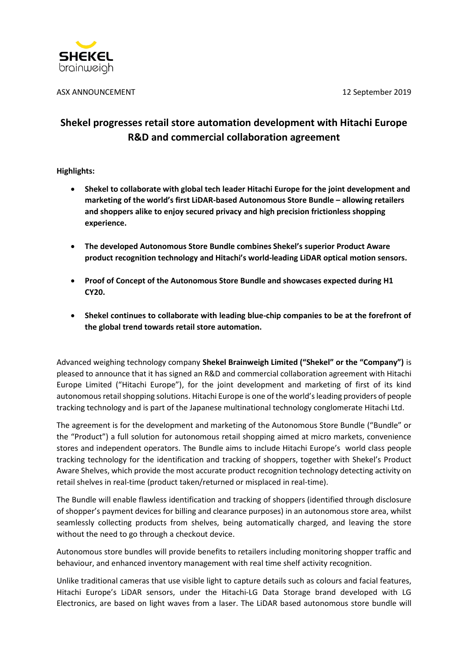

ASX ANNOUNCEMENT 12 September 2019

# **Shekel progresses retail store automation development with Hitachi Europe R&D and commercial collaboration agreement**

**Highlights:** 

- **Shekel to collaborate with global tech leader Hitachi Europe for the joint development and marketing of the world's first LiDAR-based Autonomous Store Bundle – allowing retailers and shoppers alike to enjoy secured privacy and high precision frictionless shopping experience.**
- **The developed Autonomous Store Bundle combines Shekel's superior Product Aware product recognition technology and Hitachi's world-leading LiDAR optical motion sensors.**
- **Proof of Concept of the Autonomous Store Bundle and showcases expected during H1 CY20.**
- **Shekel continues to collaborate with leading blue-chip companies to be at the forefront of the global trend towards retail store automation.**

Advanced weighing technology company **Shekel Brainweigh Limited ("Shekel" or the "Company")** is pleased to announce that it has signed an R&D and commercial collaboration agreement with Hitachi Europe Limited ("Hitachi Europe"), for the joint development and marketing of first of its kind autonomous retail shopping solutions. Hitachi Europe is one of the world'sleading providers of people tracking technology and is part of the Japanese multinational technology conglomerate Hitachi Ltd.

The agreement is for the development and marketing of the Autonomous Store Bundle ("Bundle" or the "Product") a full solution for autonomous retail shopping aimed at micro markets, convenience stores and independent operators. The Bundle aims to include Hitachi Europe's world class people tracking technology for the identification and tracking of shoppers, together with Shekel's Product Aware Shelves, which provide the most accurate product recognition technology detecting activity on retail shelves in real-time (product taken/returned or misplaced in real-time).

The Bundle will enable flawless identification and tracking of shoppers (identified through disclosure of shopper's payment devices for billing and clearance purposes) in an autonomous store area, whilst seamlessly collecting products from shelves, being automatically charged, and leaving the store without the need to go through a checkout device.

Autonomous store bundles will provide benefits to retailers including monitoring shopper traffic and behaviour, and enhanced inventory management with real time shelf activity recognition.

Unlike traditional cameras that use visible light to capture details such as colours and facial features, Hitachi Europe's LiDAR sensors, under the Hitachi-LG Data Storage brand developed with LG Electronics, are based on light waves from a laser. The LiDAR based autonomous store bundle will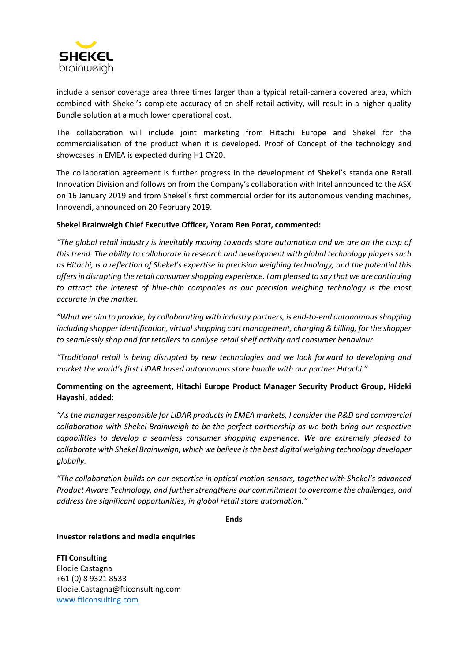

include a sensor coverage area three times larger than a typical retail-camera covered area, which combined with Shekel's complete accuracy of on shelf retail activity, will result in a higher quality Bundle solution at a much lower operational cost.

The collaboration will include joint marketing from Hitachi Europe and Shekel for the commercialisation of the product when it is developed. Proof of Concept of the technology and showcases in EMEA is expected during H1 CY20.

The collaboration agreement is further progress in the development of Shekel's standalone Retail Innovation Division and follows on from the Company's collaboration with Intel announced to the ASX on 16 January 2019 and from Shekel's first commercial order for its autonomous vending machines, Innovendi, announced on 20 February 2019.

# **Shekel Brainweigh Chief Executive Officer, Yoram Ben Porat, commented:**

*"The global retail industry is inevitably moving towards store automation and we are on the cusp of this trend. The ability to collaborate in research and development with global technology players such as Hitachi, is a reflection of Shekel's expertise in precision weighing technology, and the potential this offers in disrupting the retail consumer shopping experience. I am pleased to say that we are continuing to attract the interest of blue-chip companies as our precision weighing technology is the most accurate in the market.* 

*"What we aim to provide, by collaborating with industry partners, is end-to-end autonomous shopping including shopper identification, virtual shopping cart management, charging & billing, for the shopper to seamlessly shop and for retailers to analyse retail shelf activity and consumer behaviour.*

*"Traditional retail is being disrupted by new technologies and we look forward to developing and market the world's first LiDAR based autonomous store bundle with our partner Hitachi."*

# **Commenting on the agreement, Hitachi Europe Product Manager Security Product Group, Hideki Hayashi, added:**

*"As the manager responsible for LiDAR products in EMEA markets, I consider the R&D and commercial collaboration with Shekel Brainweigh to be the perfect partnership as we both bring our respective capabilities to develop a seamless consumer shopping experience. We are extremely pleased to collaborate with Shekel Brainweigh, which we believe isthe best digital weighing technology developer globally.* 

*"The collaboration builds on our expertise in optical motion sensors, together with Shekel's advanced Product Aware Technology, and further strengthens our commitment to overcome the challenges, and address the significant opportunities, in global retail store automation."*

**Ends**

**Investor relations and media enquiries**

**FTI Consulting** Elodie Castagna +61 (0) 8 9321 8533 Elodie.Castagna@fticonsulting.com [www.fticonsulting.com](http://www.fticonsulting.com/)